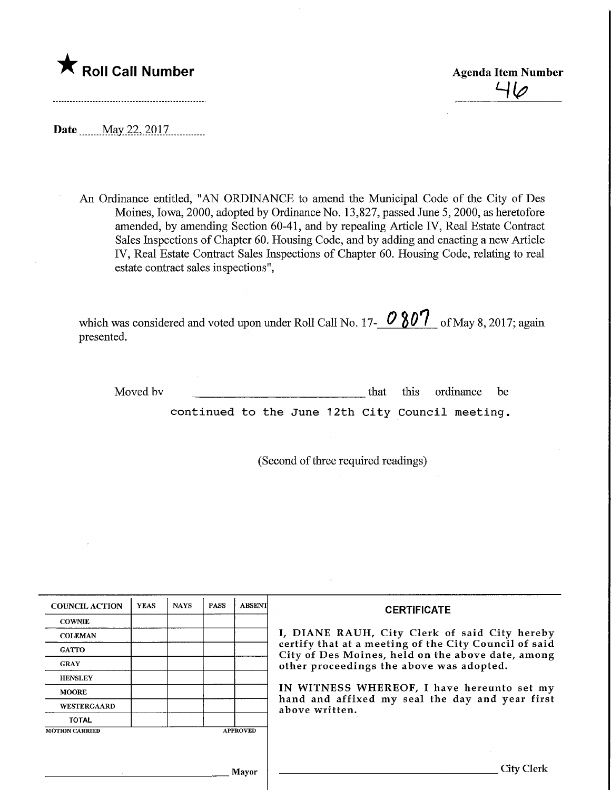

 $\frac{1}{4}$ 

Date .May.22,2Q17,

An Ordinance entitled, "AN ORDINANCE to amend the Municipal Code of the City of Des Moines, Iowa, 2000, adopted by Ordinance No. 13,827, passed June 5, 2000, as heretofore amended, by amending Section 60-41, and by repealing Article IV, Real Estate Contract Sales Inspections of Chapter 60. Housing Code, and by adding and enacting a new Article IV, Real Estate Contract Sales Inspections of Chapter 60. Housing Code, relating to real estate contract sales inspections",

which was considered and voted upon under Roll Call No. 17- $\vee$  6U L of May 8, 2017; again presented.

Moved by that this ordinance be that this ordinance be

continued to the June 12th City Council meeting.

(Second of three required readings)

| <b>COUNCIL ACTION</b> | <b>YEAS</b> | <b>NAYS</b> | <b>PASS</b> | <b>ABSENT</b>   | <b>CERTIFICATE</b>                                                                                                                                                                                                                                                                                                         |
|-----------------------|-------------|-------------|-------------|-----------------|----------------------------------------------------------------------------------------------------------------------------------------------------------------------------------------------------------------------------------------------------------------------------------------------------------------------------|
| <b>COWNIE</b>         |             |             |             |                 | I, DIANE RAUH, City Clerk of said City hereby<br>certify that at a meeting of the City Council of said<br>City of Des Moines, held on the above date, among<br>other proceedings the above was adopted.<br>IN WITNESS WHEREOF, I have hereunto set my<br>hand and affixed my seal the day and year first<br>above written. |
| <b>COLEMAN</b>        |             |             |             |                 |                                                                                                                                                                                                                                                                                                                            |
| <b>GATTO</b>          |             |             |             |                 |                                                                                                                                                                                                                                                                                                                            |
| <b>GRAY</b>           |             |             |             |                 |                                                                                                                                                                                                                                                                                                                            |
| <b>HENSLEY</b>        |             |             |             |                 |                                                                                                                                                                                                                                                                                                                            |
| <b>MOORE</b>          |             |             |             |                 |                                                                                                                                                                                                                                                                                                                            |
| <b>WESTERGAARD</b>    |             |             |             |                 |                                                                                                                                                                                                                                                                                                                            |
| <b>TOTAL</b>          |             |             |             |                 |                                                                                                                                                                                                                                                                                                                            |
| <b>MOTION CARRIED</b> |             |             |             | <b>APPROVED</b> |                                                                                                                                                                                                                                                                                                                            |
|                       |             |             |             |                 |                                                                                                                                                                                                                                                                                                                            |
|                       |             |             |             |                 |                                                                                                                                                                                                                                                                                                                            |
|                       |             |             |             | Mayor           | City Clerk                                                                                                                                                                                                                                                                                                                 |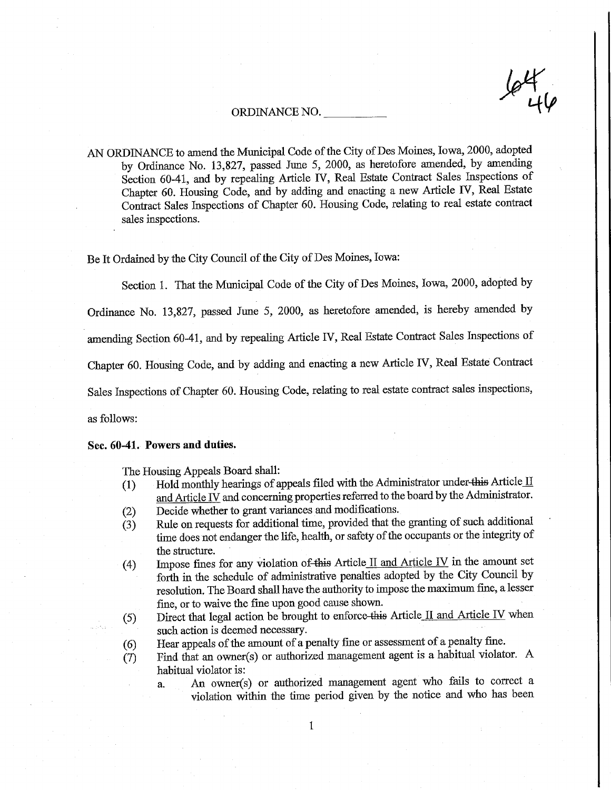# ORDINANCE NO.

AN ORDINANCE to amend the Municipal Code of the City of Des Moines, Iowa, 2000, adopted by Ordinance No. 13,827, passed June 5, 2000, as heretofore amended, by amending Section 60-41, and by repealing Article FV, Real Estate Contract Sales Inspections of Chapter 60. Housing Code, and by adding and enacting a new Article IV, Real Estate Contract Sales Inspections of Chapter 60. Housing Code, relating to real estate contract sales inspections.

Be It Ordained by the City Council of the City of Des Moines, Iowa:

Section 1. That the Municipal Code of the City of Des Moines, Iowa, 2000, adopted by

Ordinance No. 13,827, passed June 5, 2000, as heretofore amended, is hereby amended by

amending Section 60-41, and by repealing Article IV, Real Estate Contract Sales Inspections of

Chapter 60. Housing Code, and by adding and enacting a new Article IV, Real Estate Contract

Sales Inspections of Chapter 60. Housing Code, relating to real estate contract sales inspections,

as follows:

#### Sec. 60-41. Powers and duties.

The Housing Appeals Board shall:

- (1) Hold monthly hearings of appeals filed with the Administrator under-this Article  $II$ and Article IV and concerning properties referred to the board by the Administrator.
- (2) Decide whether to grant variances and modifications.
- (3) Rule on requests for additional time, provided that the granting of such additional time does not endanger the life, health, or safety of the occupants or the integrity of the structure.
- (4) Impose fines for any violation of this Article II and Article IV in the amount set forth in the schedule of administrative penalties adopted by the City Council by resolution. The Board shaU have the authority to impose the maximum fine, a lesser fine, or to waive the fine upon good cause shown.
- (5) Direct that legal action be brought to enforce-this Article II and Article IV when such action is deemed necessary.
- (6) Hear appeals of the amount of a penalty fine or assessment of a penalty fine.
- $(7)$  Find that an owner(s) or authorized management agent is a habitual violator. A habitual violator is:
	- a. An owner(s) or aufhorized management agent who fails to correct a violation within the time period given by the notice and who has been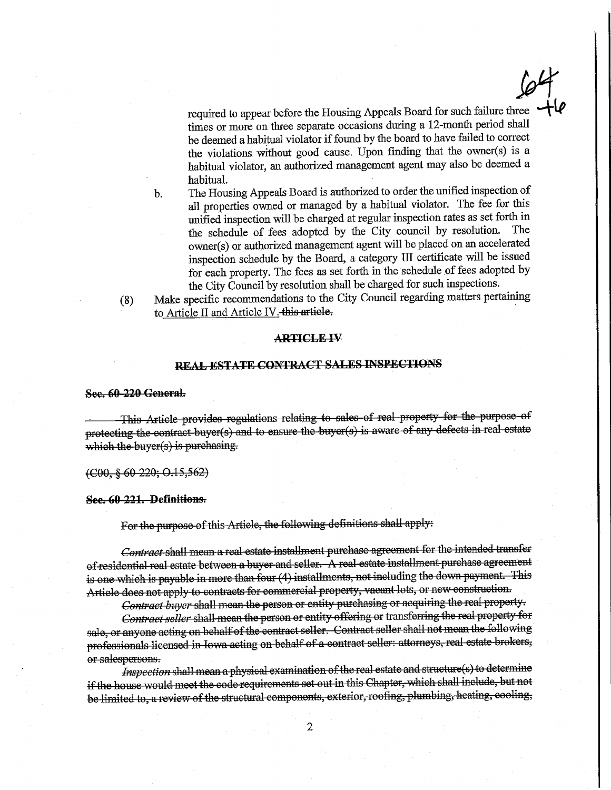required to appear before the Housing Appeals Board for such failure three times or more on three separate occasions during a 12-month period shall be deemed a habitual violator if found by the board to have failed to correct the violations without good cause. Upon finding that the owner(s) is a habitual violator, an authorized management agent may also be deemed a habitual.

 $\mathscr{P}$ 

- b. The Housing Appeals Board is authorized to order the unified inspection of all properties owned or managed by a habitual violator. The fee for this unified inspection will be charged at regular inspection rates as set forth in the schedule of fees adopted by the City council by resolution. The the schedule of fees adopted by the City council by resolution. owner(s) or authorized management agent will be placed on an accelerated inspection schedule by the Board, a category III certificate will be issued for each property. The fees as set forth in the schedule of fees adopted by the City Council by resolution shall be charged for such inspections.
- (8) Make specific recommendations to the City Council regarding matters pertaining to Article II and Article IV. this article.

#### ARTICLE IV

# REAL ESTATE CONTRACT SALES mSPECTIONS

See. 60 220 General.

This Article provides regulations relating to sales of real property for the purpose of protecting the contract buyer(s) and to ensure the buyer(s) is aware of any defects in real estate which the buyer $(s)$  is purchasing.

(COO, § 60 220; 0.15,562)

See. 60 221. Definitions.

For tho purpose of this Article, the following definitions shall apply:

Contract shall mean a real estate installment purchase agreement for the intended transfer of residential real estate between a buyer and seller. A real estate mstallment purchase agreement is one which is payable in more than four (4) installments, not including the down payment. This Article does not apply to contracts for commercial property, vacant lots, or new construction.

Contract buyer shall mean the person or entity purchasing or acquiring the real property.

Contract seller shall mean the person or entity offering or transferring the real property for sale, or anyone acting on behalf of the contract seller. Contract seller shall not mean the following professionals licensed in Iowa acting on behalf of a contract seller: attorneys, real estate brokers, or salespersons.

Inspection shall mean a physical examination of the real estate and structure(s) to determine if the house would meet the code requirements set out in this Chapter, which shall include, but not be limited to, a review of the structural components, exterior, roofing, plumbing, heating, cooling,

 $\overline{2}$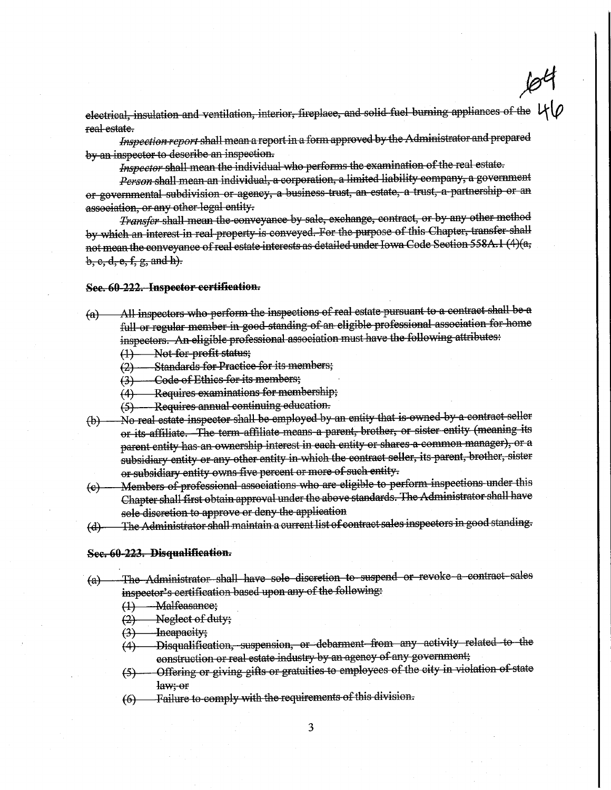electrical, inoulation and ventilation, interior, fireplace, and solid fuel burning appliances of the  $69$ real estate.

Inspection report shall mean a report in a form approved by the Administrator and prepared by an inspector to describe an inspection.

Inspector shall mean the individual who performs the examination of the real estate.

Person shall mean an individual, a corporation, a limited liability company, a government or governmental subdivision or agency, a business trust, an estate, a tmst, a partnership or an association, or any other legal entity.

Transfer shall mean the conveyance by sale, exchange, contract, or by any other method by which an interest in real property is conveyed. For the purpoos of this Chapter, transfer shall not mean the conveyance of real estate interests as detailed under Iowa Code Section 558A.1 (4)(a,  $b, c, d, e, f, g, and h$ .

#### See. 60 222. Inspector certification.

- (a) All inspectors who perform the inspections of real estate pursuant to a contract shall be a full or regular member in good standing of an eligible professional association for home inspectors. An eligible professional association must have the following attributes:
	- ^-) —Not for profit status;
	- ^3)—Standards for Practice for its members;
	- (3) Code of Ethics for its members;
	- (4) Requires examinations for membership;
	- (5) Requires annual continuing education.
- {b)—No real estate inspector shall be employed by an entity that is owned by a contract seller or its affiliate. The term affiliate means a parent, brother, or sister entity (meaning its parent entity has an ownership interest in each entity or shares a common manager), or a subsidiary entity or any other entity in which the contract seller, its parent, brother, sister or subsidiary entity owns five percent or more of such entity.
- ^e)—Members of professional asBociations who are eligible to perform, inspections under this Chapter shall first obtain approval under the above standards. The Administrator shall have sole discretion to approve or deny the application
- (d) —— The Administrator shall maintain a current list of contract sales inspectors in good standing;

#### See. 60 223. Disqualification.

- (a) The Administrator shall have sole discretion to suspend or revoke a contract sales inspector's certification based upon any of the following:
	- (1) Malfeasance;
	- (2) Neglect of duty;
	-
	- (3) Incapacity;<br>(4) Disqualifie Disqualification, suspension, or debarment from any activity related to the construction or real estate industry by an agency of any government;
	- (5) Offering or giving gifts or gratuities to employees of the city in violation of state y
	- (6)—Failure to comply with the requirements of this division.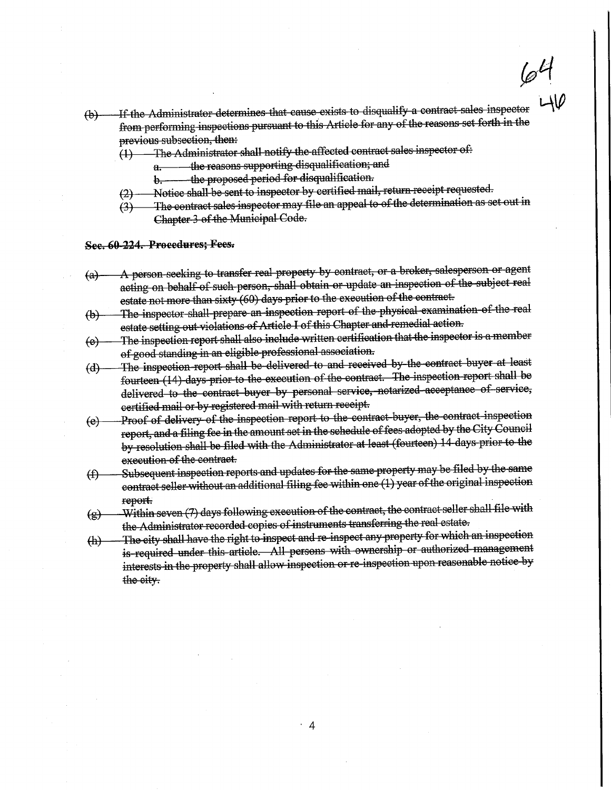$\varphi^{\bm{\iota}}$ 

- (b)—If the Administrator determines that cause exists to disqualify a contract sales inspector from performing inspections pursuant to this Article for any of the reasons set forth in the previous subsection, then:
	- $(1)$  The Administrator shall notify the affected contract sales inspector of:
		- a; according the reasons supporting disqualification; and b. and intervalsion and here in the proposed period for disqualification.
		-
		- b. the proposed period for disqualification.<br>Notice shall be sent to inspector by certified mail, return receipt requested. ^3)—Notice shall be sent to inspector by certified mail, return receipt requested.
	- $\mathcal{G}_1$  The contract sales inspector may file an appear to or the determination as set out m Chapter 3 of the Municipal Code.

See. 60 221. Procedures; Fees.

- (a)— A person seeking to transfer real property by contract, or a broker, salesperson or agent acting on behalf of such person, shall obtain or update an inspection of the subject real estate not more than sixty (60) days prior to the execution of the contract.
- (b)—The inspector shall prepare an inspection report of the physical examination of the real estate setting out violations of Article I of this Chapter and remedial action.

 $(e)$  — The inspection report shall also include written certification that the inspector is a member<br>of good standing in an eligible professional association. <u>f good standing in an eligible professional association.</u>

- $\text{d}$ ) The inspection report shall be delivered to and received by the contract buyer at least  $\text{d}$ fourteen (14) days prior to the execution of the contract. The inspection report shall be delivered to the contract buyer by personal service, notarized acceptance of service, certified mail or by registered mail wifh return receipt.
- (e)—Proof of delivery of the mopection report to the contract buyer, the contract inspootion report, and a filing fee in the amount set in the schedule of fees adopted by the City Council by resolution shall be filed with the Administrator at least (fourteen) 14-days prior to the execution of the contract-.
- $f$ ) Subsequent mspection. reports and updates for the same property may be filed by the same property may be filed by the same contract seller without an additional filing fee within one (1) year of the original inspection report.
- $(g)$ —Within seven (7) days following execution of the contract, the contract seller shall file with the Administrator recorded copies of instruments transferring the real estate.
- (h)—The city shall have the right to inspect and re inspect any property for which an inspection is required under this article. All persons with ownership or authorized management interests in the property shall allow inspection or re inspection upon reasonable notice by the city.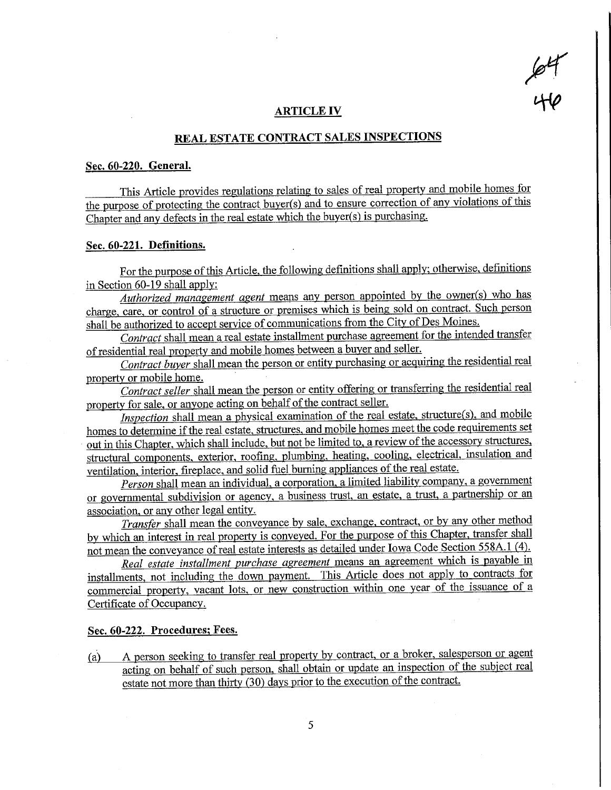$\mathscr{C}$ w

#### ARTICLE IV

# REAL ESTATE CONTRACT SALES INSPECTIONS

#### Sec. 60-220. General.

This Article provides regulations relating to sales of real property and mobile homes for the purpose of protecting the contract buyer(s) and to ensure correction of any violations of this Chapter and any defects in the real estate which the buyer(s) is purchasing.

#### Sec. 60-221. Defmitions.

For the purpose of this Article, the following definitions shall apply; otherwise, definitions in Section 60-19 shall apply:

Authorized management agent means any person appointed by the owner(s) who has charge, care, or control of a structure or premises which is being sold on contract. Such person shall be authorized to accept service of communications from the City of Des Moines.

Contract shall mean a real estate installment purchase agreement for the intended transfer of residential real property and mobile homes between a buyer and seller.

Contract buyer shall mean the person or entity purchasing or acquiring the residential real property or mobile home.

Contract seller shall mean the person or entity offering or transferring the residential real property for sale, or anyone acting on behalf of the contract seller.

Inspection shall mean a physical examination of the real estate, structure(s), and mobile homes to determine if the real estate, structures, and mobile homes meet the code requirements set out in this Chapter, which shall include, but not be limited to, a review of the accessory structures, structural components, exterior, roofing, plumbing, heating, cooling, electrical, insulation and ventilation, interior, fireplace, and solid fuel burning appliances of the real estate.

Person shall mean an individual, a corporation, a limited liability company, a government or governmental subdivision or agency, a business trust, an estate, a trust, a partnership or an association, or any other legal entity.

Transfer shall mean the conveyance by sale, exchange, contract, or by any other method by which an interest in real property is conveyed. For the purpose of this Chapter, transfer shall not mean the conveyance of real estate interests as detailed under Iowa Code Section 558A.1 (4).

Real estate installment purchase agreement means an agreement which is payable in installments, not including the down payment. This Article does not apply to contracts for commercial property, vacant lots, or new construction within one year of the issuance of a Certificate of Occupancy.

#### Sec. 60-222. Procedures; Fees.

(a) A person seeking to transfer real property by contract, or a broker, salesperson or agent acting on behalf of such person, shall obtain or update an inspection of the subiect real estate not more than thirty (30) days prior to the execution of the contract.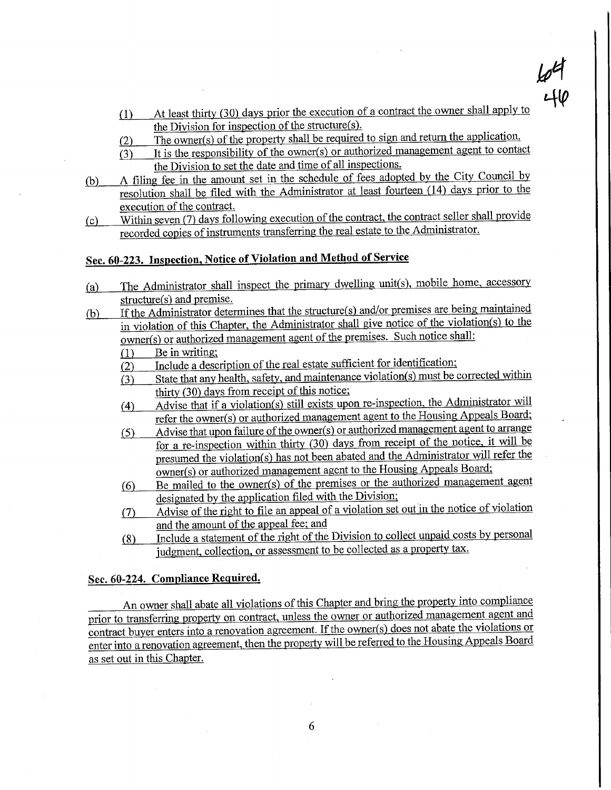$f(1)$  At least thirty (30) days prior the execution of a contract the owner shall apply to the Division for inspection of the structure(s). the Division for inspection of the structure(s).

 $\frac{\rho}{\mu}$ 

 $\mathbf{L}$ 

- f2) The owner(s) of the property shall be required to sign and return the application.
- $\overline{(3)}$  It is the responsibility of the owner(s) or authorized management agent to contact the Division to set the date and time of all inspections,
- (b) A filing fee in the amount set in the schedule of fees adopted by the City Council by resolution shall be filed with the Administrator at least fourteen (14) days prior to the execution of the contract.
- ${c}$  ... Within seven (7) days following execution of the contract, the contract seller shall provide recorded copies of instruments transferring the real estate to the Administrator,

# Sec. 60-223. Inspection, Notice of Violation and Method of Service

- (a) The Administrator shall inspect the primary dwelling unit(s), mobile home, accessory structure(s) and premise. <u>tructure(s) and premise.</u>
- $\frac{1}{2}$  If the Administrator determines that the structure(s) and/or premises are being maintained in violation of this Chapter, the Administrator shall give notice of the violation(s) to the  $\frac{1}{2}$  owner(s) or authorized management agent of the premises. Such notice shall:<br>(1) Be in writing;
	- Be in writing;
	- (2) Include a description of the real estate sufficient for identification;
	- $\overline{(3)}$  State that any health, safety, and maintenance violation(s) must be corrected within thirty  $(30)$  days from receipt of this notice;
	- (4) Advise that if a violation(s) still exists upon re-inspection, the Administrator will refer the owner(s) or authorized management agent to the Housing Appeals Board:
	- $(5)$  Advise that upon failure of the owner(s) or authorized management agent to arrange for a re-inspection within thirty (30) days from receipt of the notice, it will be presumed the violation(s) has not been abated and the Administrator will refer the owner(s) or authorized management agent to the Housing Appeals Board;
	- (6) Be mailed to the owner(s) of the premises or the authorized management agent designated by the application filed with the Division;
	- (7} Advise of the right to file an appeal of a violation set out in the notice of violation and the amount of the appeal fee; and
	- $f(8)$  Include a statement of the right of the Division to collect unpaid costs by personal judgment, collection, or assessment to be collected as a property tax.

### Sec. 60-224. Compliance Reauired.

An owner shall abate all violations of this Chapter and bring the property into compliance prior to transferring property on contract, unless the owner or authorized management agent and contract buyer enters into a renovation agreement. If the owner(s) does not abate the violations or enter into a renovation agreement, then the property will be referred to the Housing Appeals Board as set out in this Chapter.